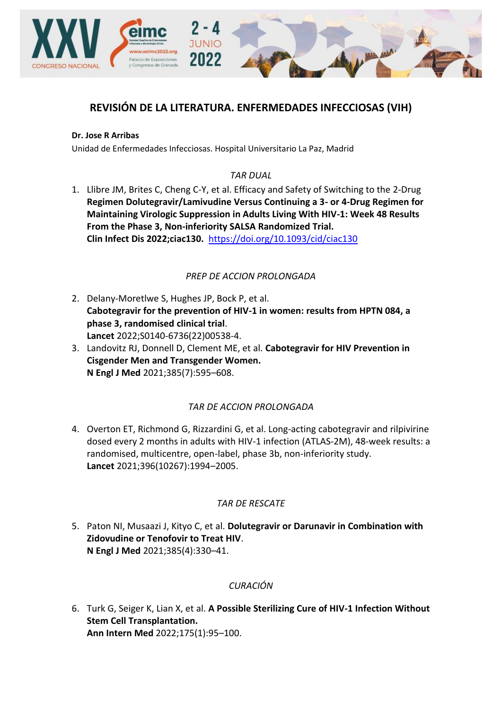

# **REVISIÓN DE LA LITERATURA. ENFERMEDADES INFECCIOSAS (VIH)**

#### **Dr. Jose R Arribas**

Unidad de Enfermedades Infecciosas. Hospital Universitario La Paz, Madrid

### *TAR DUAL*

1. Llibre JM, Brites C, Cheng C-Y, et al. Efficacy and Safety of Switching to the 2-Drug **Regimen Dolutegravir/Lamivudine Versus Continuing a 3- or 4-Drug Regimen for Maintaining Virologic Suppression in Adults Living With HIV-1: Week 48 Results From the Phase 3, Non-inferiority SALSA Randomized Trial. Clin Infect Dis 2022;ciac130.** <https://doi.org/10.1093/cid/ciac130>

### *PREP DE ACCION PROLONGADA*

- 2. Delany-Moretlwe S, Hughes JP, Bock P, et al. **Cabotegravir for the prevention of HIV-1 in women: results from HPTN 084, a phase 3, randomised clinical trial**. **Lancet** 2022;S0140-6736(22)00538-4.
- 3. Landovitz RJ, Donnell D, Clement ME, et al. **Cabotegravir for HIV Prevention in Cisgender Men and Transgender Women. N Engl J Med** 2021;385(7):595–608.

#### *TAR DE ACCION PROLONGADA*

4. Overton ET, Richmond G, Rizzardini G, et al. Long-acting cabotegravir and rilpivirine dosed every 2 months in adults with HIV-1 infection (ATLAS-2M), 48-week results: a randomised, multicentre, open-label, phase 3b, non-inferiority study. **Lancet** 2021;396(10267):1994–2005.

#### *TAR DE RESCATE*

5. Paton NI, Musaazi J, Kityo C, et al. **Dolutegravir or Darunavir in Combination with Zidovudine or Tenofovir to Treat HIV**. **N Engl J Med** 2021;385(4):330–41.

## *CURACIÓN*

6. Turk G, Seiger K, Lian X, et al. **A Possible Sterilizing Cure of HIV-1 Infection Without Stem Cell Transplantation. Ann Intern Med** 2022;175(1):95–100.